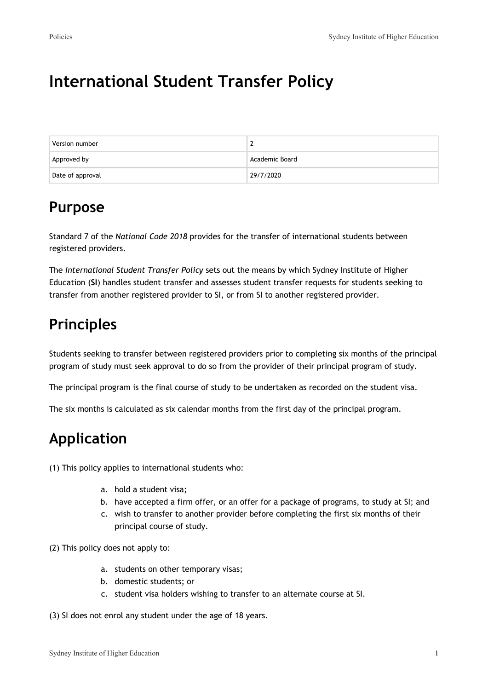# **International Student Transfer Policy**

| Version number   |                |
|------------------|----------------|
| Approved by      | Academic Board |
| Date of approval | 29/7/2020      |

### **Purpose**

Standard 7 of the *National Code 2018* provides for the transfer of international students between registered providers.

The *International Student Transfer Policy* sets out the means by which Sydney Institute of Higher Education (**SI**) handles student transfer and assesses student transfer requests for students seeking to transfer from another registered provider to SI, or from SI to another registered provider.

# **Principles**

Students seeking to transfer between registered providers prior to completing six months of the principal program of study must seek approval to do so from the provider of their principal program of study.

The principal program is the final course of study to be undertaken as recorded on the student visa.

The six months is calculated as six calendar months from the first day of the principal program.

# **Application**

(1) This policy applies to international students who:

- a. hold a student visa;
- b. have accepted a firm offer, or an offer for a package of programs, to study at SI; and
- c. wish to transfer to another provider before completing the first six months of their principal course of study.

(2) This policy does not apply to:

- a. students on other temporary visas;
- b. domestic students; or
- c. student visa holders wishing to transfer to an alternate course at SI.

(3) SI does not enrol any student under the age of 18 years.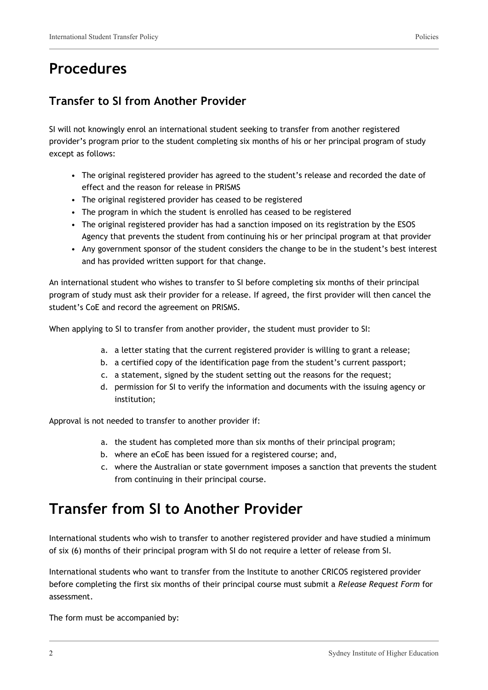### **Procedures**

#### **Transfer to SI from Another Provider**

SI will not knowingly enrol an international student seeking to transfer from another registered provider's program prior to the student completing six months of his or her principal program of study except as follows:

- The original registered provider has agreed to the student's release and recorded the date of effect and the reason for release in PRISMS
- The original registered provider has ceased to be registered
- The program in which the student is enrolled has ceased to be registered
- The original registered provider has had a sanction imposed on its registration by the ESOS Agency that prevents the student from continuing his or her principal program at that provider
- Any government sponsor of the student considers the change to be in the student's best interest and has provided written support for that change.

An international student who wishes to transfer to SI before completing six months of their principal program of study must ask their provider for a release. If agreed, the first provider will then cancel the student's CoE and record the agreement on PRISMS.

When applying to SI to transfer from another provider, the student must provider to SI:

- a. a letter stating that the current registered provider is willing to grant a release;
- b. a certified copy of the identification page from the student's current passport;
- c. a statement, signed by the student setting out the reasons for the request;
- d. permission for SI to verify the information and documents with the issuing agency or institution;

Approval is not needed to transfer to another provider if:

- a. the student has completed more than six months of their principal program;
- b. where an eCoE has been issued for a registered course; and,
- c. where the Australian or state government imposes a sanction that prevents the student from continuing in their principal course.

### **Transfer from SI to Another Provider**

International students who wish to transfer to another registered provider and have studied a minimum of six (6) months of their principal program with SI do not require a letter of release from SI.

International students who want to transfer from the Institute to another CRICOS registered provider before completing the first six months of their principal course must submit a *Release Request Form* for assessment.

The form must be accompanied by: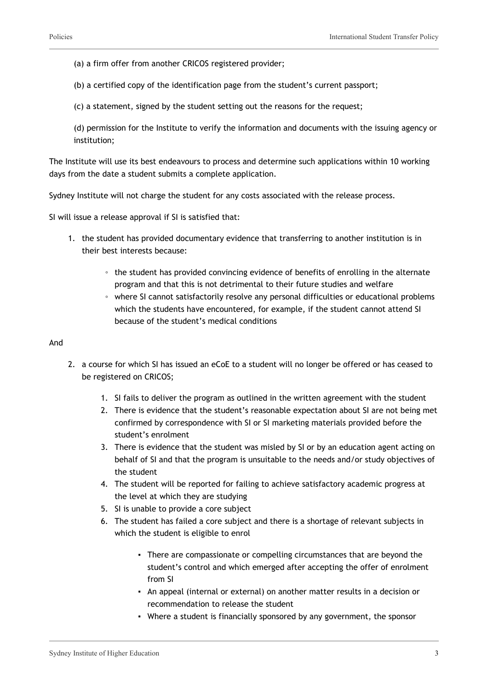(a) a firm offer from another CRICOS registered provider;

(b) a certified copy of the identification page from the student's current passport;

(c) a statement, signed by the student setting out the reasons for the request;

(d) permission for the Institute to verify the information and documents with the issuing agency or institution;

The Institute will use its best endeavours to process and determine such applications within 10 working days from the date a student submits a complete application.

Sydney Institute will not charge the student for any costs associated with the release process.

SI will issue a release approval if SI is satisfied that:

- 1. the student has provided documentary evidence that transferring to another institution is in their best interests because:
	- the student has provided convincing evidence of benefits of enrolling in the alternate program and that this is not detrimental to their future studies and welfare
	- where SI cannot satisfactorily resolve any personal difficulties or educational problems which the students have encountered, for example, if the student cannot attend SI because of the student's medical conditions

#### And

- 2. a course for which SI has issued an eCoE to a student will no longer be offered or has ceased to be registered on CRICOS;
	- 1. SI fails to deliver the program as outlined in the written agreement with the student
	- 2. There is evidence that the student's reasonable expectation about SI are not being met confirmed by correspondence with SI or SI marketing materials provided before the student's enrolment
	- 3. There is evidence that the student was misled by SI or by an education agent acting on behalf of SI and that the program is unsuitable to the needs and/or study objectives of the student
	- 4. The student will be reported for failing to achieve satisfactory academic progress at the level at which they are studying
	- 5. SI is unable to provide a core subject
	- 6. The student has failed a core subject and there is a shortage of relevant subjects in which the student is eligible to enrol
		- There are compassionate or compelling circumstances that are beyond the student's control and which emerged after accepting the offer of enrolment from SI
		- An appeal (internal or external) on another matter results in a decision or recommendation to release the student
		- Where a student is financially sponsored by any government, the sponsor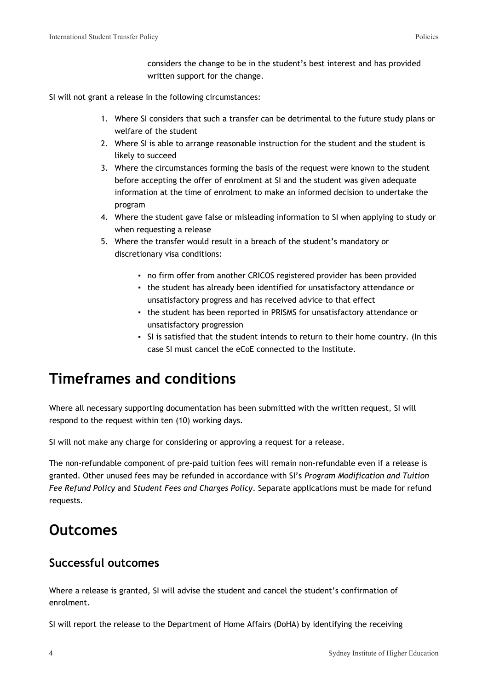considers the change to be in the student's best interest and has provided written support for the change.

SI will not grant a release in the following circumstances:

- 1. Where SI considers that such a transfer can be detrimental to the future study plans or welfare of the student
- 2. Where SI is able to arrange reasonable instruction for the student and the student is likely to succeed
- 3. Where the circumstances forming the basis of the request were known to the student before accepting the offer of enrolment at SI and the student was given adequate information at the time of enrolment to make an informed decision to undertake the program
- 4. Where the student gave false or misleading information to SI when applying to study or when requesting a release
- 5. Where the transfer would result in a breach of the student's mandatory or discretionary visa conditions:
	- no firm offer from another CRICOS registered provider has been provided
	- the student has already been identified for unsatisfactory attendance or unsatisfactory progress and has received advice to that effect
	- the student has been reported in PRISMS for unsatisfactory attendance or unsatisfactory progression
	- SI is satisfied that the student intends to return to their home country. (In this case SI must cancel the eCoE connected to the Institute.

## **Timeframes and conditions**

Where all necessary supporting documentation has been submitted with the written request, SI will respond to the request within ten (10) working days.

SI will not make any charge for considering or approving a request for a release.

The non-refundable component of pre-paid tuition fees will remain non-refundable even if a release is granted. Other unused fees may be refunded in accordance with SI's *Program Modification and Tuition Fee Refund Policy* and *Student Fees and Charges Policy*. Separate applications must be made for refund requests.

### **Outcomes**

#### **Successful outcomes**

Where a release is granted, SI will advise the student and cancel the student's confirmation of enrolment.

SI will report the release to the Department of Home Affairs (DoHA) by identifying the receiving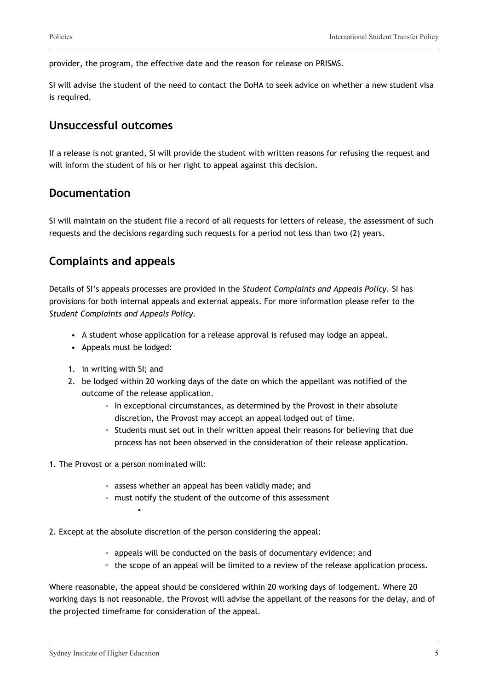provider, the program, the effective date and the reason for release on PRISMS.

SI will advise the student of the need to contact the DoHA to seek advice on whether a new student visa is required.

#### **Unsuccessful outcomes**

If a release is not granted, SI will provide the student with written reasons for refusing the request and will inform the student of his or her right to appeal against this decision.

#### **Documentation**

SI will maintain on the student file a record of all requests for letters of release, the assessment of such requests and the decisions regarding such requests for a period not less than two (2) years.

#### **Complaints and appeals**

Details of SI's appeals processes are provided in the *Student Complaints and Appeals Policy*. SI has provisions for both internal appeals and external appeals. For more information please refer to the *Student Complaints and Appeals Policy.*

- A student whose application for a release approval is refused may lodge an appeal.
- Appeals must be lodged:
- 1. in writing with SI; and
- 2. be lodged within 20 working days of the date on which the appellant was notified of the outcome of the release application.
	- In exceptional circumstances, as determined by the Provost in their absolute discretion, the Provost may accept an appeal lodged out of time.
	- Students must set out in their written appeal their reasons for believing that due process has not been observed in the consideration of their release application.
- 1. The Provost or a person nominated will:

▪

- assess whether an appeal has been validly made; and
- must notify the student of the outcome of this assessment
- 2. Except at the absolute discretion of the person considering the appeal:
	- appeals will be conducted on the basis of documentary evidence; and
	- the scope of an appeal will be limited to a review of the release application process.

Where reasonable, the appeal should be considered within 20 working days of lodgement. Where 20 working days is not reasonable, the Provost will advise the appellant of the reasons for the delay, and of the projected timeframe for consideration of the appeal.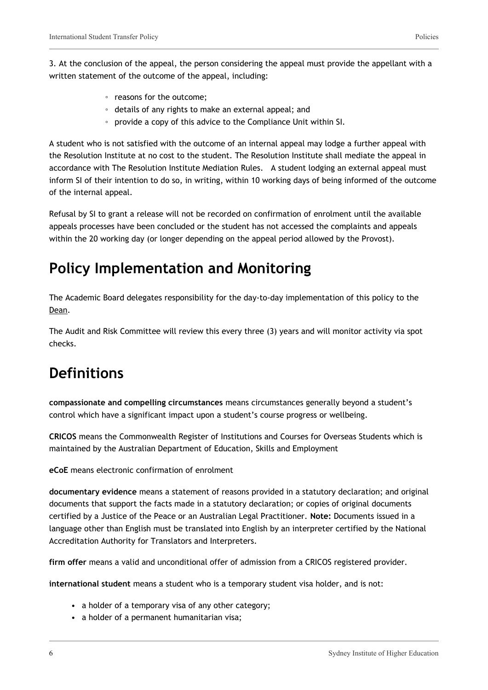3. At the conclusion of the appeal, the person considering the appeal must provide the appellant with a written statement of the outcome of the appeal, including:

- reasons for the outcome;
- details of any rights to make an external appeal; and
- provide a copy of this advice to the Compliance Unit within SI.

A student who is not satisfied with the outcome of an internal appeal may lodge a further appeal with the Resolution Institute at no cost to the student. The Resolution Institute shall mediate the appeal in accordance with The Resolution Institute Mediation Rules. A student lodging an external appeal must inform SI of their intention to do so, in writing, within 10 working days of being informed of the outcome of the internal appeal.

Refusal by SI to grant a release will not be recorded on confirmation of enrolment until the available appeals processes have been concluded or the student has not accessed the complaints and appeals within the 20 working day (or longer depending on the appeal period allowed by the Provost).

# **Policy Implementation and Monitoring**

The Academic Board delegates responsibility for the day-to-day implementation of this policy to the Dean.

The Audit and Risk Committee will review this every three (3) years and will monitor activity via spot checks.

# **Definitions**

**compassionate and compelling circumstances** means circumstances generally beyond a student's control which have a significant impact upon a student's course progress or wellbeing.

**CRICOS** means the Commonwealth Register of Institutions and Courses for Overseas Students which is maintained by the Australian Department of Education, Skills and Employment

**eCoE** means electronic confirmation of enrolment

**documentary evidence** means a statement of reasons provided in a statutory declaration; and original documents that support the facts made in a statutory declaration; or copies of original documents certified by a Justice of the Peace or an Australian Legal Practitioner. **Note:** Documents issued in a language other than English must be translated into English by an interpreter certified by the National Accreditation Authority for Translators and Interpreters.

**firm offer** means a valid and unconditional offer of admission from a CRICOS registered provider.

**international student** means a student who is a temporary student visa holder, and is not:

- a holder of a temporary visa of any other category;
- a holder of a permanent humanitarian visa;